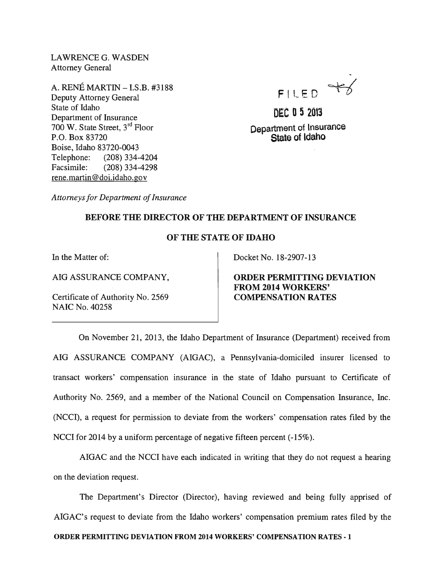LAWRENCEG. WASDEN Attorney General

A. RENE MARTIN - I.S.B. #3188 Deputy Attorney General State of Idaho Department of Insurance 700 W. State Street, 3<sup>rd</sup> Floor P.O. Box 83720 Boise, Idaho 83720-0043 Telephone: (208) 334-4204 Facsimile: (208) 334-4298 rene.martin@doi.idaho.gov

FILED YS

DEC 0 5 <sup>2013</sup> Department of Insurance State of ldaho

*Attorneys for Department of Insurance* 

## BEFORE THE DIRECTOR OF THE DEPARTMENT OF INSURANCE

## OF THE STATE OF IDAHO

In the Matter of:

AIG ASSURANCE COMPANY,

Certificate of Authority No. 2569 NAIC No. 40258

Docket No. 18-2907-13

ORDER PERMITTING DEVIATION FROM 2014 WORKERS' COMPENSATION RATES

On November 21, 2013, the Idaho Department of Insurance (Department) received from AIG ASSURANCE COMPANY (AIGAC), a Pennsylvania-domiciled insurer licensed to transact workers' compensation insurance in the state of Idaho pursuant to Certificate of Authority No. 2569, and a member of the National Council on Compensation Insurance, Inc. (NCCI), a request for permission to deviate from the workers' compensation rates filed by the NCCI for 2014 by a uniform percentage of negative fifteen percent (-15%).

AIGAC and the NCCI have each indicated in writing that they do not request a hearing on the deviation request.

The Department's Director (Director), having reviewed and being fully apprised of AIGAC's request to deviate from the Idaho workers' compensation premium rates filed by the ORDER PERMITTING DEVIATION FROM 2014 WORKERS' COMPENSATION RATES· 1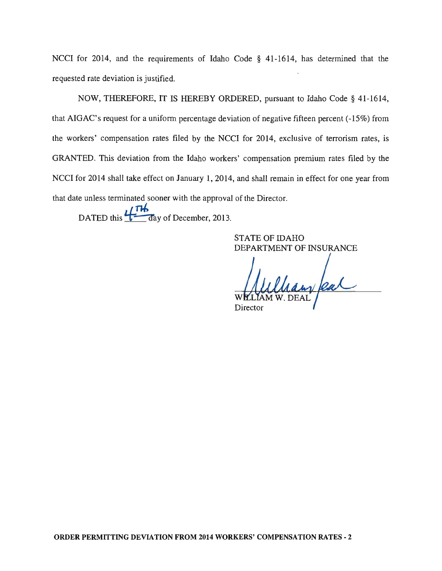NCCI for 2014, and the requirements of Idaho Code § 41-1614, has determined that the requested rate deviation is justified.

NOW, THEREFORE, IT IS HEREBY ORDERED, pursuant to Idaho Code § 41-1614, that AIGAC's request for a uniform percentage deviation of negative fifteen percent (-15%) from the workers' compensation rates filed by the NCCI for 2014, exclusive of terrorism rates, is GRANTED. This deviation from the Idaho workers' compensation premium rates filed by the NCCI for 2014 shall take effect on January 1, 2014, and shall remain in effect for one year from that date unless terminated sooner with the approval of the Director.

DATED this  $\frac{1}{\sqrt{h}}$  day of December, 2013.

STATE OF IDAHO DEPARTMENT OF INSURANCE

Chaw feat Director

ORDER PERMITTING DEVIATION FROM 2014 WORKERS' COMPENSATION RATES - 2